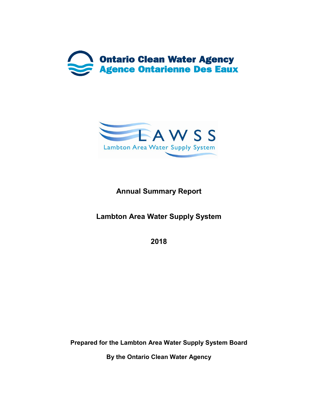



# **Annual Summary Report**

**Lambton Area Water Supply System**

**2018**

**Prepared for the Lambton Area Water Supply System Board**

**By the Ontario Clean Water Agency**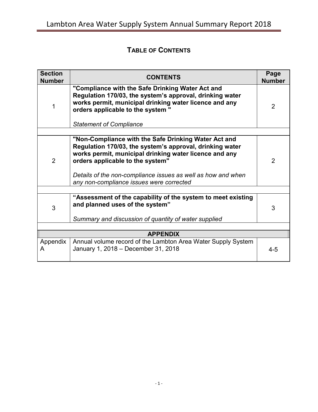# **TABLE OF CONTENTS**

| <b>Section</b><br><b>Number</b> | <b>CONTENTS</b>                                                                                                                                                                                                                                                                |                |  |  |
|---------------------------------|--------------------------------------------------------------------------------------------------------------------------------------------------------------------------------------------------------------------------------------------------------------------------------|----------------|--|--|
| 1                               | "Compliance with the Safe Drinking Water Act and<br>Regulation 170/03, the system's approval, drinking water<br>works permit, municipal drinking water licence and any<br>orders applicable to the system "<br><b>Statement of Compliance</b>                                  | $\overline{2}$ |  |  |
|                                 |                                                                                                                                                                                                                                                                                |                |  |  |
| $\overline{2}$                  | "Non-Compliance with the Safe Drinking Water Act and<br>Regulation 170/03, the system's approval, drinking water<br>works permit, municipal drinking water licence and any<br>orders applicable to the system"<br>Details of the non-compliance issues as well as how and when | $\overline{2}$ |  |  |
|                                 | any non-compliance issues were corrected                                                                                                                                                                                                                                       |                |  |  |
|                                 |                                                                                                                                                                                                                                                                                |                |  |  |
| 3                               | "Assessment of the capability of the system to meet existing<br>and planned uses of the system"<br>Summary and discussion of quantity of water supplied                                                                                                                        | 3              |  |  |
|                                 |                                                                                                                                                                                                                                                                                |                |  |  |
|                                 | <b>APPENDIX</b>                                                                                                                                                                                                                                                                |                |  |  |
| Appendix<br>A                   | Annual volume record of the Lambton Area Water Supply System<br>January 1, 2018 - December 31, 2018                                                                                                                                                                            | $4 - 5$        |  |  |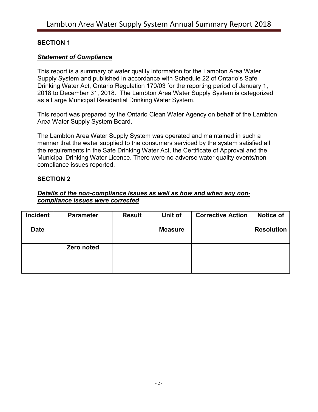#### **SECTION 1**

#### *Statement of Compliance*

This report is a summary of water quality information for the Lambton Area Water Supply System and published in accordance with Schedule 22 of Ontario's Safe Drinking Water Act, Ontario Regulation 170/03 for the reporting period of January 1, 2018 to December 31, 2018. The Lambton Area Water Supply System is categorized as a Large Municipal Residential Drinking Water System.

This report was prepared by the Ontario Clean Water Agency on behalf of the Lambton Area Water Supply System Board.

The Lambton Area Water Supply System was operated and maintained in such a manner that the water supplied to the consumers serviced by the system satisfied all the requirements in the Safe Drinking Water Act, the Certificate of Approval and the Municipal Drinking Water Licence. There were no adverse water quality events/noncompliance issues reported.

#### **SECTION 2**

#### *Details of the non-compliance issues as well as how and when any noncompliance issues were corrected*

| Incident    | <b>Parameter</b> | <b>Result</b> | Unit of        | <b>Corrective Action</b> | Notice of         |
|-------------|------------------|---------------|----------------|--------------------------|-------------------|
| <b>Date</b> |                  |               | <b>Measure</b> |                          | <b>Resolution</b> |
|             | Zero noted       |               |                |                          |                   |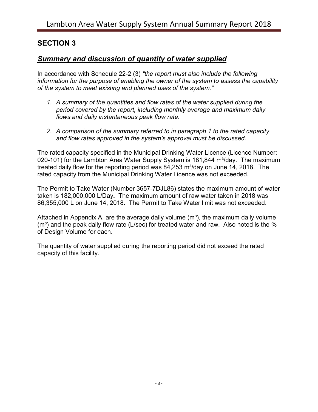### **SECTION 3**

#### *Summary and discussion of quantity of water supplied*

In accordance with Schedule 22-2 (3) *"the report must also include the following information for the purpose of enabling the owner of the system to assess the capability of the system to meet existing and planned uses of the system."*

- *1. A summary of the quantities and flow rates of the water supplied during the period covered by the report, including monthly average and maximum daily flows and daily instantaneous peak flow rate.*
- *2. A comparison of the summary referred to in paragraph 1 to the rated capacity and flow rates approved in the system's approval must be discussed.*

The rated capacity specified in the Municipal Drinking Water Licence (Licence Number: 020-101) for the Lambton Area Water Supply System is 181,844 m<sup>3</sup>/day. The maximum treated daily flow for the reporting period was 84,253 m<sup>3</sup>/day on June 14, 2018. The rated capacity from the Municipal Drinking Water Licence was not exceeded.

The Permit to Take Water (Number 3657-7DJL86) states the maximum amount of water taken is 182,000,000 L/Day**.** The maximum amount of raw water taken in 2018 was 86,355,000 L on June 14, 2018. The Permit to Take Water limit was not exceeded.

Attached in Appendix A, are the average daily volume  $(m<sup>3</sup>)$ , the maximum daily volume  $(m<sup>3</sup>)$  and the peak daily flow rate (L/sec) for treated water and raw. Also noted is the  $%$ of Design Volume for each.

The quantity of water supplied during the reporting period did not exceed the rated capacity of this facility.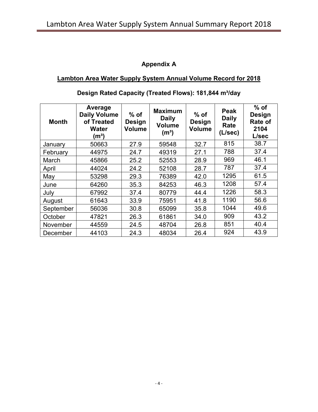### **Appendix A**

### **Lambton Area Water Supply System Annual Volume Record for 2018**

| <b>Month</b> | Average<br><b>Daily Volume</b><br>of Treated<br><b>Water</b><br>(mª) | $%$ of<br>Design<br><b>Volume</b> | <b>Maximum</b><br><b>Daily</b><br><b>Volume</b><br>(m <sup>3</sup> ) | $%$ of<br><b>Design</b><br><b>Volume</b> | <b>Peak</b><br><b>Daily</b><br>Rate<br>(L/sec) | $%$ of<br><b>Design</b><br><b>Rate of</b><br>2104<br>L/sec |
|--------------|----------------------------------------------------------------------|-----------------------------------|----------------------------------------------------------------------|------------------------------------------|------------------------------------------------|------------------------------------------------------------|
| January      | 50663                                                                | 27.9                              | 59548                                                                | 32.7                                     | 815                                            | 38.7                                                       |
| February     | 44975                                                                | 24.7                              | 49319                                                                | 27.1                                     | 788                                            | 37.4                                                       |
| March        | 45866                                                                | 25.2                              | 52553                                                                | 28.9                                     | 969                                            | 46.1                                                       |
| April        | 44024                                                                | 24.2                              | 52108                                                                | 28.7                                     | 787                                            | 37.4                                                       |
| May          | 53298                                                                | 29.3                              | 76389                                                                | 42.0                                     | 1295                                           | 61.5                                                       |
| June         | 64260                                                                | 35.3                              | 84253                                                                | 46.3                                     | 1208                                           | 57.4                                                       |
| July         | 67992                                                                | 37.4                              | 80779                                                                | 44.4                                     | 1226                                           | 58.3                                                       |
| August       | 61643                                                                | 33.9                              | 75951                                                                | 41.8                                     | 1190                                           | 56.6                                                       |
| September    | 56036                                                                | 30.8                              | 65099                                                                | 35.8                                     | 1044                                           | 49.6                                                       |
| October      | 47821                                                                | 26.3                              | 61861                                                                | 34.0                                     | 909                                            | 43.2                                                       |
| November     | 44559                                                                | 24.5                              | 48704                                                                | 26.8                                     | 851                                            | 40.4                                                       |
| December     | 44103                                                                | 24.3                              | 48034                                                                | 26.4                                     | 924                                            | 43.9                                                       |

### Design Rated Capacity (Treated Flows): 181,844 m<sup>3</sup>/day